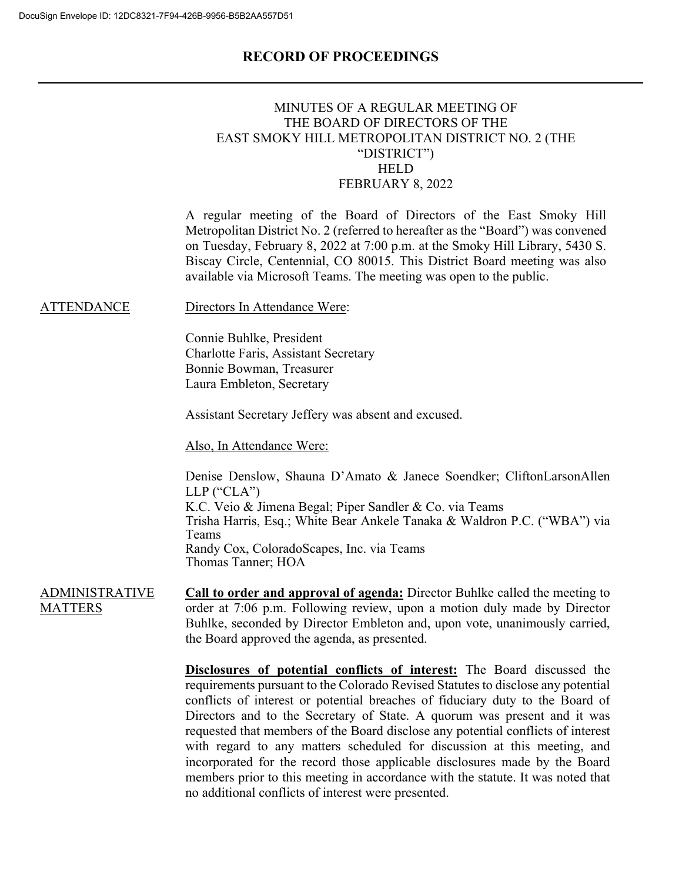|                                         | MINUTES OF A REGULAR MEETING OF<br>THE BOARD OF DIRECTORS OF THE<br>EAST SMOKY HILL METROPOLITAN DISTRICT NO. 2 (THE<br>"DISTRICT")<br><b>HELD</b><br>FEBRUARY 8, 2022                                                                                                                                                                                                                                                                                                                                                                                                                                                                                                                                                  |
|-----------------------------------------|-------------------------------------------------------------------------------------------------------------------------------------------------------------------------------------------------------------------------------------------------------------------------------------------------------------------------------------------------------------------------------------------------------------------------------------------------------------------------------------------------------------------------------------------------------------------------------------------------------------------------------------------------------------------------------------------------------------------------|
|                                         | A regular meeting of the Board of Directors of the East Smoky Hill<br>Metropolitan District No. 2 (referred to hereafter as the "Board") was convened<br>on Tuesday, February 8, 2022 at 7:00 p.m. at the Smoky Hill Library, 5430 S.<br>Biscay Circle, Centennial, CO 80015. This District Board meeting was also<br>available via Microsoft Teams. The meeting was open to the public.                                                                                                                                                                                                                                                                                                                                |
| <b>ATTENDANCE</b>                       | Directors In Attendance Were:                                                                                                                                                                                                                                                                                                                                                                                                                                                                                                                                                                                                                                                                                           |
|                                         | Connie Buhlke, President<br><b>Charlotte Faris, Assistant Secretary</b><br>Bonnie Bowman, Treasurer<br>Laura Embleton, Secretary                                                                                                                                                                                                                                                                                                                                                                                                                                                                                                                                                                                        |
|                                         | Assistant Secretary Jeffery was absent and excused.                                                                                                                                                                                                                                                                                                                                                                                                                                                                                                                                                                                                                                                                     |
|                                         | Also, In Attendance Were:                                                                                                                                                                                                                                                                                                                                                                                                                                                                                                                                                                                                                                                                                               |
| <b>ADMINISTRATIVE</b><br><b>MATTERS</b> | Denise Denslow, Shauna D'Amato & Janece Soendker; CliftonLarsonAllen<br>$LLP$ ("CLA")<br>K.C. Veio & Jimena Begal; Piper Sandler & Co. via Teams<br>Trisha Harris, Esq.; White Bear Ankele Tanaka & Waldron P.C. ("WBA") via<br>Teams<br>Randy Cox, ColoradoScapes, Inc. via Teams<br>Thomas Tanner; HOA                                                                                                                                                                                                                                                                                                                                                                                                                |
|                                         | Call to order and approval of agenda: Director Buhlke called the meeting to<br>order at 7:06 p.m. Following review, upon a motion duly made by Director<br>Buhlke, seconded by Director Embleton and, upon vote, unanimously carried,<br>the Board approved the agenda, as presented.                                                                                                                                                                                                                                                                                                                                                                                                                                   |
|                                         | <b>Disclosures of potential conflicts of interest:</b> The Board discussed the<br>requirements pursuant to the Colorado Revised Statutes to disclose any potential<br>conflicts of interest or potential breaches of fiduciary duty to the Board of<br>Directors and to the Secretary of State. A quorum was present and it was<br>requested that members of the Board disclose any potential conflicts of interest<br>with regard to any matters scheduled for discussion at this meeting, and<br>incorporated for the record those applicable disclosures made by the Board<br>members prior to this meeting in accordance with the statute. It was noted that<br>no additional conflicts of interest were presented. |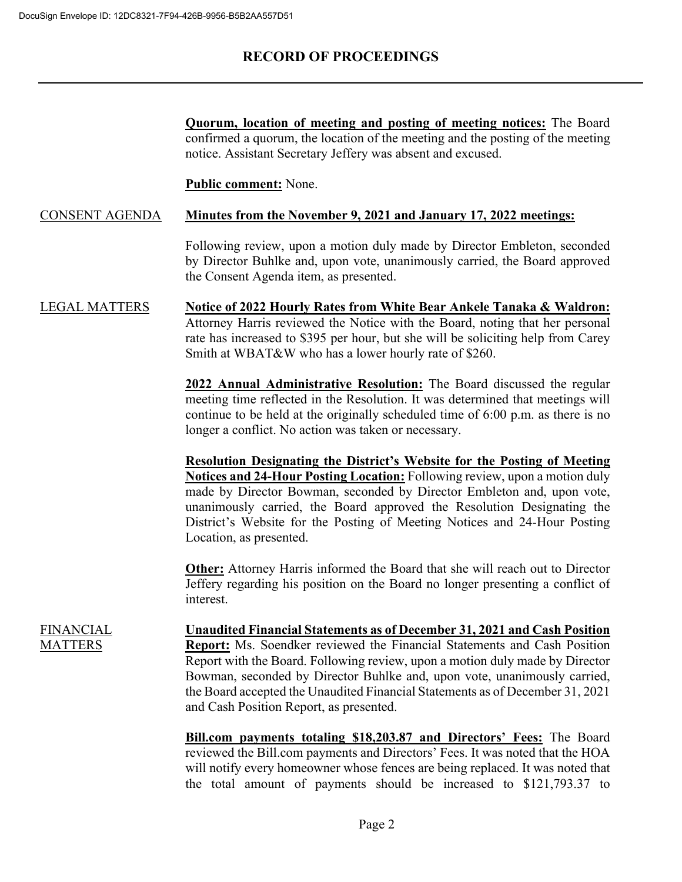**Quorum, location of meeting and posting of meeting notices:** The Board confirmed a quorum, the location of the meeting and the posting of the meeting notice. Assistant Secretary Jeffery was absent and excused.

**Public comment:** None.

#### CONSENT AGENDA **Minutes from the November 9, 2021 and January 17, 2022 meetings:**

Following review, upon a motion duly made by Director Embleton, seconded by Director Buhlke and, upon vote, unanimously carried, the Board approved the Consent Agenda item, as presented.

LEGAL MATTERS **Notice of 2022 Hourly Rates from White Bear Ankele Tanaka & Waldron:** Attorney Harris reviewed the Notice with the Board, noting that her personal rate has increased to \$395 per hour, but she will be soliciting help from Carey Smith at WBAT&W who has a lower hourly rate of \$260.

> **2022 Annual Administrative Resolution:** The Board discussed the regular meeting time reflected in the Resolution. It was determined that meetings will continue to be held at the originally scheduled time of 6:00 p.m. as there is no longer a conflict. No action was taken or necessary.

> **Resolution Designating the District's Website for the Posting of Meeting Notices and 24-Hour Posting Location:** Following review, upon a motion duly made by Director Bowman, seconded by Director Embleton and, upon vote, unanimously carried, the Board approved the Resolution Designating the District's Website for the Posting of Meeting Notices and 24-Hour Posting Location, as presented.

> **Other:** Attorney Harris informed the Board that she will reach out to Director Jeffery regarding his position on the Board no longer presenting a conflict of interest.

FINANCIAL **MATTERS** 

**Unaudited Financial Statements as of December 31, 2021 and Cash Position Report:** Ms. Soendker reviewed the Financial Statements and Cash Position Report with the Board. Following review, upon a motion duly made by Director Bowman, seconded by Director Buhlke and, upon vote, unanimously carried, the Board accepted the Unaudited Financial Statements as of December 31, 2021 and Cash Position Report, as presented.

**Bill.com payments totaling \$18,203.87 and Directors' Fees:** The Board reviewed the Bill.com payments and Directors' Fees. It was noted that the HOA will notify every homeowner whose fences are being replaced. It was noted that the total amount of payments should be increased to \$121,793.37 to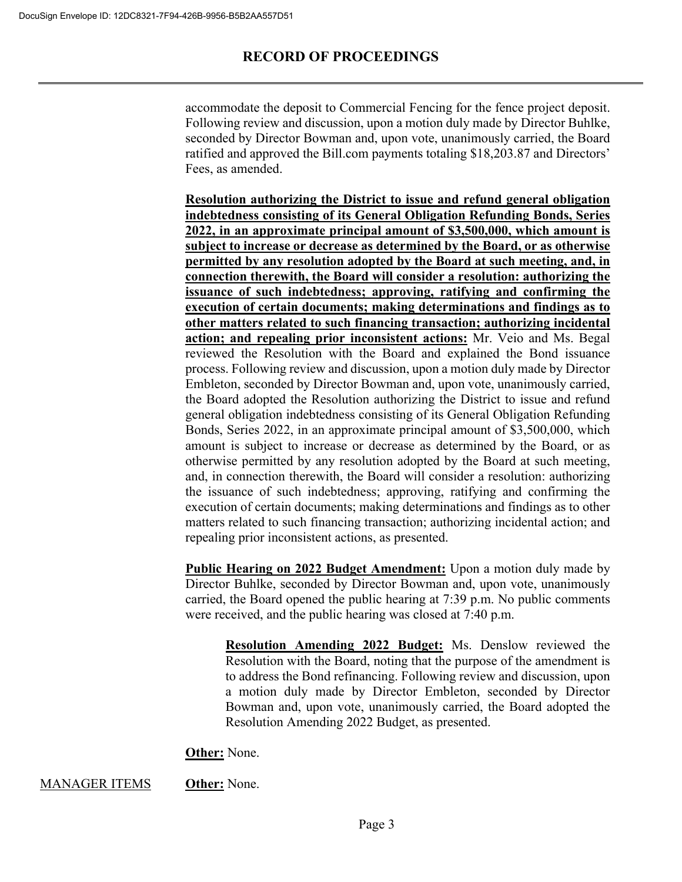accommodate the deposit to Commercial Fencing for the fence project deposit. Following review and discussion, upon a motion duly made by Director Buhlke, seconded by Director Bowman and, upon vote, unanimously carried, the Board ratified and approved the Bill.com payments totaling \$18,203.87 and Directors' Fees, as amended.

**Resolution authorizing the District to issue and refund general obligation indebtedness consisting of its General Obligation Refunding Bonds, Series 2022, in an approximate principal amount of \$3,500,000, which amount is subject to increase or decrease as determined by the Board, or as otherwise permitted by any resolution adopted by the Board at such meeting, and, in connection therewith, the Board will consider a resolution: authorizing the issuance of such indebtedness; approving, ratifying and confirming the execution of certain documents; making determinations and findings as to other matters related to such financing transaction; authorizing incidental action; and repealing prior inconsistent actions:** Mr. Veio and Ms. Begal reviewed the Resolution with the Board and explained the Bond issuance process. Following review and discussion, upon a motion duly made by Director Embleton, seconded by Director Bowman and, upon vote, unanimously carried, the Board adopted the Resolution authorizing the District to issue and refund general obligation indebtedness consisting of its General Obligation Refunding Bonds, Series 2022, in an approximate principal amount of \$3,500,000, which amount is subject to increase or decrease as determined by the Board, or as otherwise permitted by any resolution adopted by the Board at such meeting, and, in connection therewith, the Board will consider a resolution: authorizing the issuance of such indebtedness; approving, ratifying and confirming the execution of certain documents; making determinations and findings as to other matters related to such financing transaction; authorizing incidental action; and repealing prior inconsistent actions, as presented.

**Public Hearing on 2022 Budget Amendment:** Upon a motion duly made by Director Buhlke, seconded by Director Bowman and, upon vote, unanimously carried, the Board opened the public hearing at 7:39 p.m. No public comments were received, and the public hearing was closed at 7:40 p.m.

**Resolution Amending 2022 Budget:** Ms. Denslow reviewed the Resolution with the Board, noting that the purpose of the amendment is to address the Bond refinancing. Following review and discussion, upon a motion duly made by Director Embleton, seconded by Director Bowman and, upon vote, unanimously carried, the Board adopted the Resolution Amending 2022 Budget, as presented.

**Other:** None.

#### MANAGER ITEMS **Other:** None.